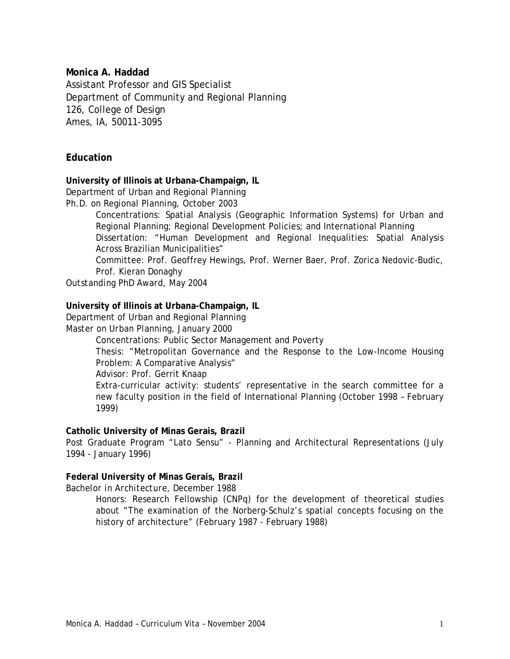### **Monica A. Haddad**

Assistant Professor and GIS Specialist Department of Community and Regional Planning 126, College of Design Ames, IA, 50011-3095

# **Education**

#### **University of Illinois at Urbana-Champaign, IL**

Department of Urban and Regional Planning

*Ph.D. on Regional Planning, October 2003*

Concentrations: Spatial Analysis (Geographic Information Systems) for Urban and Regional Planning; Regional Development Policies; and International Planning Dissertation: "Human Development and Regional Inequalities: Spatial Analysis Across Brazilian Municipalities"

Committee: Prof. Geoffrey Hewings, Prof. Werner Baer, Prof. Zorica Nedovic-Budic, Prof. Kieran Donaghy

*Outstanding PhD Award, May 2004* 

#### **University of Illinois at Urbana-Champaign, IL**

Department of Urban and Regional Planning

#### *Master on Urban Planning, January 2000*

Concentrations: Public Sector Management and Poverty

Thesis: "Metropolitan Governance and the Response to the Low-Income Housing Problem: A Comparative Analysis"

Advisor: Prof. Gerrit Knaap

Extra-curricular activity: students' representative in the search committee for a new faculty position in the field of International Planning (October 1998 – February 1999)

### **Catholic University of Minas Gerais, Brazil**

Post Graduate Program "Lato Sensu" - Planning and Architectural Representations (July 1994 - January 1996)

### **Federal University of Minas Gerais, Brazil**

*Bachelor in Architecture, December 1988*

Honors: Research Fellowship (CNPq) for the development of theoretical studies about "The examination of the Norberg-Schulz's spatial concepts focusing on the history of architecture" (February 1987 - February 1988)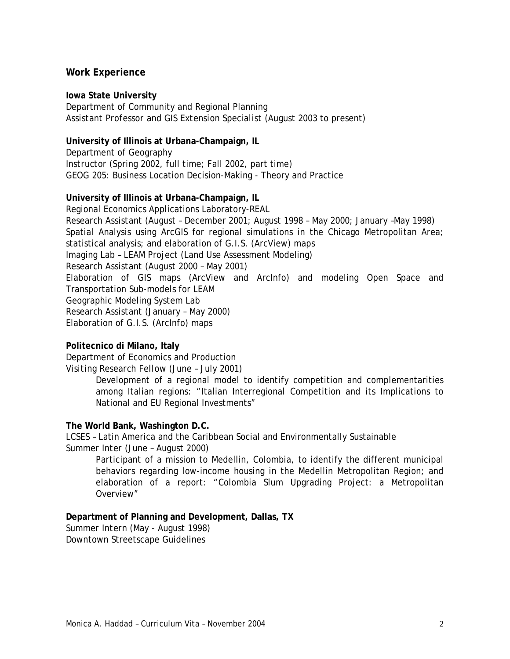## **Work Experience**

#### **Iowa State University**

Department of Community and Regional Planning *Assistant Professor and GIS Extension Specialist* (August 2003 to present)

## **University of Illinois at Urbana-Champaign, IL**

Department of Geography *Instructor* (Spring 2002, full time; Fall 2002, part time) GEOG 205: Business Location Decision-Making - Theory and Practice

### **University of Illinois at Urbana-Champaign, IL**

Regional Economics Applications Laboratory-REAL *Research Assistant* (August – December 2001; August 1998 – May 2000; January –May 1998) Spatial Analysis using ArcGIS for regional simulations in the Chicago Metropolitan Area; statistical analysis; and elaboration of G.I.S. (ArcView) maps Imaging Lab – LEAM Project (Land Use Assessment Modeling) *Research Assistant* (August 2000 – May 2001) Elaboration of GIS maps (ArcView and ArcInfo) and modeling Open Space and Transportation Sub-models for LEAM Geographic Modeling System Lab *Research Assistant* (January – May 2000) Elaboration of G.I.S. (ArcInfo) maps

### **Politecnico di Milano, Italy**

Department of Economics and Production

*Visiting Research Fellow* (June – July 2001)

Development of a regional model to identify competition and complementarities among Italian regions: "Italian Interregional Competition and its Implications to National and EU Regional Investments"

### **The World Bank, Washington D.C.**

LCSES – Latin America and the Caribbean Social and Environmentally Sustainable *Summer Inter* (June – August 2000)

Participant of a mission to Medellin, Colombia, to identify the different municipal behaviors regarding low-income housing in the Medellin Metropolitan Region; and elaboration of a report: "Colombia Slum Upgrading Project: a Metropolitan Overview"

### **Department of Planning and Development, Dallas, TX**

*Summer Intern* (May - August 1998) Downtown Streetscape Guidelines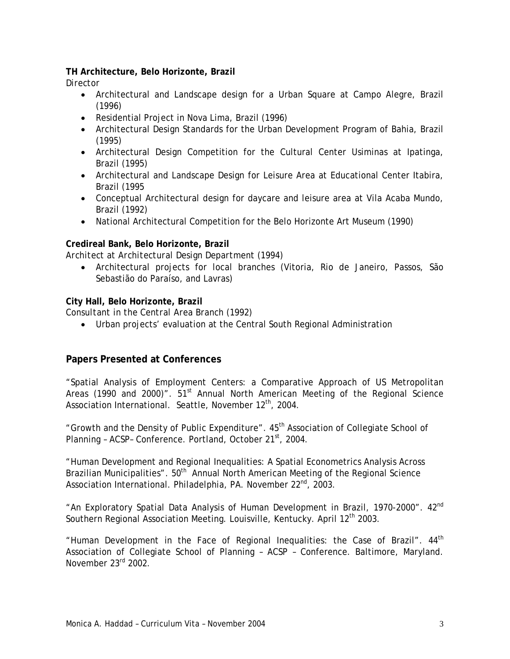# **TH Architecture, Belo Horizonte, Brazil**

*Director*

- Architectural and Landscape design for a Urban Square at Campo Alegre, Brazil (1996)
- Residential Project in Nova Lima, Brazil (1996)
- Architectural Design Standards for the Urban Development Program of Bahia, Brazil (1995)
- Architectural Design Competition for the Cultural Center Usiminas at Ipatinga, Brazil (1995)
- Architectural and Landscape Design for Leisure Area at Educational Center Itabira, Brazil (1995
- Conceptual Architectural design for daycare and leisure area at Vila Acaba Mundo, Brazil (1992)
- National Architectural Competition for the Belo Horizonte Art Museum (1990)

# **Credireal Bank, Belo Horizonte, Brazil**

*Architect at Architectural Design Department* (1994)

• Architectural projects for local branches (Vitoria, Rio de Janeiro, Passos, São Sebastião do Paraíso, and Lavras)

# **City Hall, Belo Horizonte, Brazil**

*Consultant in the Central Area Branch* (1992)

• Urban projects' evaluation at the Central South Regional Administration

# **Papers Presented at Conferences**

"Spatial Analysis of Employment Centers: a Comparative Approach of US Metropolitan Areas (1990 and 2000)".  $51<sup>st</sup>$  Annual North American Meeting of the Regional Science Association International. Seattle, November 12<sup>th</sup>, 2004.

"Growth and the Density of Public Expenditure". 45<sup>th</sup> Association of Collegiate School of Planning - ACSP- Conference. Portland, October 21<sup>st</sup>, 2004.

"Human Development and Regional Inequalities: A Spatial Econometrics Analysis Across Brazilian Municipalities".  $50<sup>th</sup>$  Annual North American Meeting of the Regional Science Association International. Philadelphia, PA. November 22<sup>nd</sup>, 2003.

"An Exploratory Spatial Data Analysis of Human Development in Brazil, 1970-2000". 42<sup>nd</sup> Southern Regional Association Meeting. Louisville, Kentucky. April 12<sup>th</sup> 2003.

"Human Development in the Face of Regional Inequalities: the Case of Brazil".  $44<sup>th</sup>$ Association of Collegiate School of Planning – ACSP – Conference. Baltimore, Maryland. November 23rd 2002.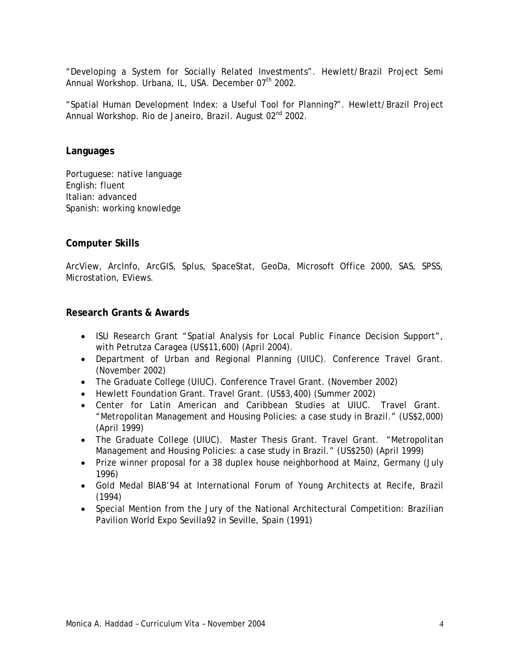"Developing a System for Socially Related Investments". Hewlett/Brazil Project Semi Annual Workshop. Urbana, IL, USA. December 07<sup>th</sup> 2002.

"Spatial Human Development Index: a Useful Tool for Planning?". Hewlett/Brazil Project Annual Workshop. Rio de Janeiro, Brazil. August 02<sup>nd</sup> 2002.

#### **Languages**

Portuguese: native language English: fluent Italian: advanced Spanish: working knowledge

# **Computer Skills**

ArcView, ArcInfo, ArcGIS, Splus, SpaceStat, GeoDa, Microsoft Office 2000, SAS, SPSS, Microstation, EViews.

### **Research Grants & Awards**

- ISU Research Grant "Spatial Analysis for Local Public Finance Decision Support", with Petrutza Caragea (US\$11,600) (April 2004).
- Department of Urban and Regional Planning (UIUC). Conference Travel Grant. (November 2002)
- The Graduate College (UIUC). Conference Travel Grant. (November 2002)
- Hewlett Foundation Grant. Travel Grant. (US\$3,400) (Summer 2002)
- Center for Latin American and Caribbean Studies at UIUC. Travel Grant. "Metropolitan Management and Housing Policies: a case study in Brazil." (US\$2,000) (April 1999)
- The Graduate College (UIUC). Master Thesis Grant. Travel Grant. "Metropolitan Management and Housing Policies: a case study in Brazil." (US\$250) (April 1999)
- Prize winner proposal for a 38 duplex house neighborhood at Mainz, Germany (July 1996)
- Gold Medal BIAB'94 at International Forum of Young Architects at Recife, Brazil (1994)
- Special Mention from the Jury of the National Architectural Competition: Brazilian Pavilion World Expo Sevilla92 in Seville, Spain (1991)